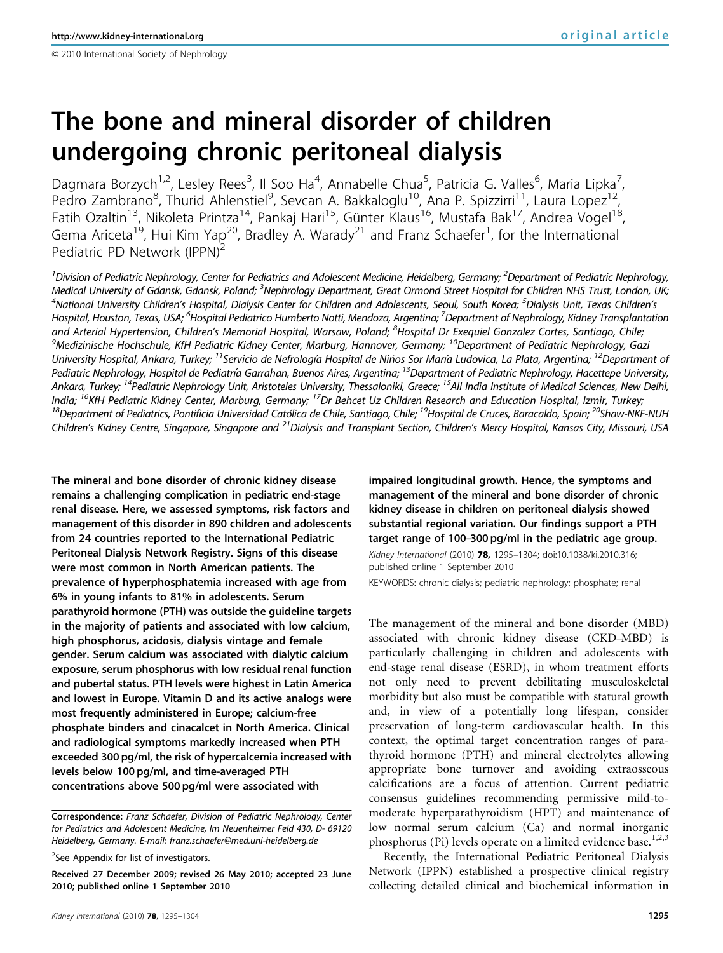# The bone and mineral disorder of children undergoing chronic peritoneal dialysis

Dagmara Borzych<sup>1,2</sup>, Lesley Rees<sup>3</sup>, Il Soo Ha<sup>4</sup>, Annabelle Chua<sup>5</sup>, Patricia G. Valles<sup>6</sup>, Maria Lipka<sup>7</sup> , Pedro Zambrano<sup>8</sup>, Thurid Ahlenstiel<sup>9</sup>, Sevcan A. Bakkaloglu<sup>10</sup>, Ana P. Spizzirri<sup>11</sup>, Laura Lopez<sup>12</sup>, Fatih Ozaltin<sup>13</sup>, Nikoleta Printza<sup>14</sup>, Pankaj Hari<sup>15</sup>, Günter Klaus<sup>16</sup>, Mustafa Bak<sup>17</sup>, Andrea Vogel<sup>18</sup>, Gema Ariceta<sup>19</sup>, Hui Kim Yap<sup>20</sup>, Bradley A. Warady<sup>21</sup> and Franz Schaefer<sup>1</sup>, for the International Pediatric PD Network (IPPN)<sup>2</sup>

<sup>1</sup>Division of Pediatric Nephrology, Center for Pediatrics and Adolescent Medicine, Heidelberg, Germany; <sup>2</sup>Department of Pediatric Nephrology, Medical University of Gdansk, Gdansk, Poland; <sup>3</sup>Nephrology Department, Great Ormond Street Hospital for Children NHS Trust, London, UK;<br><sup>4</sup>National University Children's Hospital, Dighesis Center for Children and Adolesce National University Children's Hospital, Dialysis Center for Children and Adolescents, Seoul, South Korea; <sup>5</sup>Dialysis Unit, Texas Children's Hospital, Houston, Texas, USA; <sup>6</sup>Hospital Pediatrico Humberto Notti, Mendoza, Argentina; <sup>7</sup>Department of Nephrology, Kidney Transplantation and Arterial Hypertension, Children's Memorial Hospital, Warsaw, Poland; <sup>8</sup>Hospital Dr Exequiel Gonzalez Cortes, Santiago, Chile;<br><sup>9</sup>Medizinische Hochschule KfH Pediatric Kidney Center, Marbura, Hannover, Germany: <sup>10</sup>Den <sup>9</sup>Medizinische Hochschule, KfH Pediatric Kidney Center, Marburg, Hannover, Germany; <sup>10</sup>Department of Pediatric Nephrology, Gazi University Hospital, Ankara, Turkey; <sup>11</sup>Servicio de Nefrología Hospital de Niños Sor María Ludovica, La Plata, Argentina; <sup>12</sup>Department of Pediatric Nephrology, Hospital de Pediatría Garrahan, Buenos Aires, Argentina; <sup>13</sup>Department of Pediatric Nephrology, Hacettepe University, Ankara, Turkey; <sup>14</sup>Pediatric Nephrology Unit, Aristoteles University, Thessaloniki, Greece; <sup>15</sup>All India Institute of Medical Sciences, New Delhi,<br>India; <sup>16</sup>KfH Pediatric Kidney Center, Marburg, Germany; <sup>17</sup>Dr Behcet U <sup>18</sup>Department of Pediatrics, Pontificia Universidad Católica de Chile, Santiago, Chile; <sup>19</sup>Hospital de Cruces, Baracaldo, Spain; <sup>20</sup>Shaw-NKF-NUH Children's Kidney Centre, Singapore, Singapore and <sup>21</sup>Dialysis and Transplant Section, Children's Mercy Hospital, Kansas City, Missouri, USA

The mineral and bone disorder of chronic kidney disease remains a challenging complication in pediatric end-stage renal disease. Here, we assessed symptoms, risk factors and management of this disorder in 890 children and adolescents from 24 countries reported to the International Pediatric Peritoneal Dialysis Network Registry. Signs of this disease were most common in North American patients. The prevalence of hyperphosphatemia increased with age from 6% in young infants to 81% in adolescents. Serum parathyroid hormone (PTH) was outside the guideline targets in the majority of patients and associated with low calcium, high phosphorus, acidosis, dialysis vintage and female gender. Serum calcium was associated with dialytic calcium exposure, serum phosphorus with low residual renal function and pubertal status. PTH levels were highest in Latin America and lowest in Europe. Vitamin D and its active analogs were most frequently administered in Europe; calcium-free phosphate binders and cinacalcet in North America. Clinical and radiological symptoms markedly increased when PTH exceeded 300 pg/ml, the risk of hypercalcemia increased with levels below 100 pg/ml, and time-averaged PTH concentrations above 500 pg/ml were associated with

Kidney International (2010) 78, 1295–1304 1295

impaired longitudinal growth. Hence, the symptoms and management of the mineral and bone disorder of chronic kidney disease in children on peritoneal dialysis showed substantial regional variation. Our findings support a PTH target range of 100–300 pg/ml in the pediatric age group.

Kidney International (2010) 78, 1295-1304; doi:[10.1038/ki.2010.316;](http://dx.doi.org/10.1038/ki.2010.316) published online 1 September 2010

KEYWORDS: chronic dialysis; pediatric nephrology; phosphate; renal

The management of the mineral and bone disorder (MBD) associated with chronic kidney disease (CKD–MBD) is particularly challenging in children and adolescents with end-stage renal disease (ESRD), in whom treatment efforts not only need to prevent debilitating musculoskeletal morbidity but also must be compatible with statural growth and, in view of a potentially long lifespan, consider preservation of long-term cardiovascular health. In this context, the optimal target concentration ranges of parathyroid hormone (PTH) and mineral electrolytes allowing appropriate bone turnover and avoiding extraosseous calcifications are a focus of attention. Current pediatric consensus guidelines recommending permissive mild-tomoderate hyperparathyroidism (HPT) and maintenance of low normal serum calcium (Ca) and normal inorganic phosphorus (Pi) levels operate on a limited evidence base.<sup>[1,2,3](#page-7-0)</sup>

Recently, the International Pediatric Peritoneal Dialysis Network (IPPN) established a prospective clinical registry collecting detailed clinical and biochemical information in

Correspondence: Franz Schaefer, Division of Pediatric Nephrology, Center for Pediatrics and Adolescent Medicine, Im Neuenheimer Feld 430, D- 69120 Heidelberg, Germany. E-mail: [franz.schaefer@med.uni-heidelberg.de](mailto:franz.schaefer@med.uni-heidelberg.de)

<sup>&</sup>lt;sup>2</sup>See Appendix for list of investigators.

Received 27 December 2009; revised 26 May 2010; accepted 23 June 2010; published online 1 September 2010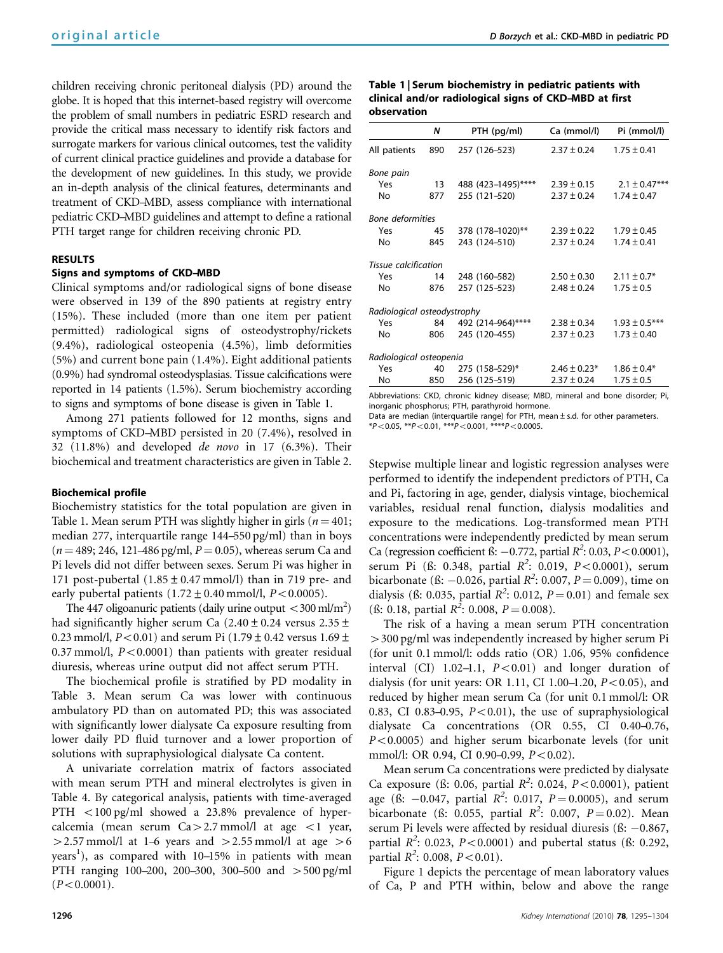children receiving chronic peritoneal dialysis (PD) around the globe. It is hoped that this internet-based registry will overcome the problem of small numbers in pediatric ESRD research and provide the critical mass necessary to identify risk factors and surrogate markers for various clinical outcomes, test the validity of current clinical practice guidelines and provide a database for the development of new guidelines. In this study, we provide an in-depth analysis of the clinical features, determinants and treatment of CKD–MBD, assess compliance with international pediatric CKD–MBD guidelines and attempt to define a rational PTH target range for children receiving chronic PD.

#### RESULTS

#### Signs and symptoms of CKD–MBD

Clinical symptoms and/or radiological signs of bone disease were observed in 139 of the 890 patients at registry entry (15%). These included (more than one item per patient permitted) radiological signs of osteodystrophy/rickets (9.4%), radiological osteopenia (4.5%), limb deformities (5%) and current bone pain (1.4%). Eight additional patients (0.9%) had syndromal osteodysplasias. Tissue calcifications were reported in 14 patients (1.5%). Serum biochemistry according to signs and symptoms of bone disease is given in Table 1.

Among 271 patients followed for 12 months, signs and symptoms of CKD–MBD persisted in 20 (7.4%), resolved in 32 (11.8%) and developed de novo in 17 (6.3%). Their biochemical and treatment characteristics are given in [Table 2.](#page-2-0)

#### Biochemical profile

Biochemistry statistics for the total population are given in Table 1. Mean serum PTH was slightly higher in girls ( $n = 401$ ; median 277, interquartile range 144–550 pg/ml) than in boys  $(n = 489; 246, 121–486 \text{ pg/ml}, P = 0.05)$ , whereas serum Ca and Pi levels did not differ between sexes. Serum Pi was higher in 171 post-pubertal  $(1.85 \pm 0.47 \text{ mmol/l})$  than in 719 pre- and early pubertal patients  $(1.72 \pm 0.40 \text{ mmol/l}, P < 0.0005)$ .

The 447 oligoanuric patients (daily urine output  $<$  300 ml/m<sup>2</sup>) had significantly higher serum Ca  $(2.40 \pm 0.24$  versus  $2.35 \pm$ 0.23 mmol/l,  $P < 0.01$ ) and serum Pi (1.79  $\pm$  0.42 versus 1.69  $\pm$ 0.37 mmol/l,  $P < 0.0001$ ) than patients with greater residual diuresis, whereas urine output did not affect serum PTH.

The biochemical profile is stratified by PD modality in [Table 3.](#page-2-0) Mean serum Ca was lower with continuous ambulatory PD than on automated PD; this was associated with significantly lower dialysate Ca exposure resulting from lower daily PD fluid turnover and a lower proportion of solutions with supraphysiological dialysate Ca content.

A univariate correlation matrix of factors associated with mean serum PTH and mineral electrolytes is given in [Table 4](#page-2-0). By categorical analysis, patients with time-averaged PTH  $\langle 100 \text{ pg/ml} \rangle$  showed a 23.8% prevalence of hypercalcemia (mean serum  $Ca > 2.7$  mmol/l at age <1 year,  $>$  2.57 mmol/l at 1–6 years and  $>$  2.55 mmol/l at age  $>$  6 years<sup>[1](#page-7-0)</sup>), as compared with 10-15% in patients with mean PTH ranging 100–200, 200–300, 300–500 and  $>$  500 pg/ml  $(P<0.0001)$ .

### Table 1 | Serum biochemistry in pediatric patients with clinical and/or radiological signs of CKD–MBD at first observation

|                             | Ν   | PTH (pg/ml)        | Ca (mmol/l)      | Pi (mmol/l)       |
|-----------------------------|-----|--------------------|------------------|-------------------|
| All patients                | 890 | 257 (126-523)      | $2.37 \pm 0.24$  | $1.75 \pm 0.41$   |
| Bone pain                   |     |                    |                  |                   |
| <b>Yes</b>                  | 13  | 488 (423-1495)**** | $2.39 \pm 0.15$  | $2.1 \pm 0.47***$ |
| No                          | 877 | 255 (121-520)      | $2.37 \pm 0.24$  | $1.74 \pm 0.47$   |
| <b>Bone deformities</b>     |     |                    |                  |                   |
| Yes                         | 45  | 378 (178-1020)**   | $2.39 \pm 0.22$  | $1.79 \pm 0.45$   |
| No                          | 845 | 243 (124-510)      | $2.37 \pm 0.24$  | $1.74 \pm 0.41$   |
| Tissue calcification        |     |                    |                  |                   |
| Yes                         | 14  | 248 (160–582)      | $2.50 \pm 0.30$  | $2.11 \pm 0.7^*$  |
| No                          | 876 | 257 (125-523)      | $2.48 \pm 0.24$  | $1.75 \pm 0.5$    |
| Radiological osteodystrophy |     |                    |                  |                   |
| Yes                         | 84  | 492 (214-964)****  | $2.38 \pm 0.34$  | $1.93 \pm 0.5***$ |
| No                          | 806 | 245 (120-455)      | $2.37 \pm 0.23$  | $1.73 \pm 0.40$   |
| Radiological osteopenia     |     |                    |                  |                   |
| Yes                         | 40  | 275 (158-529)*     | $2.46 \pm 0.23*$ | $1.86 \pm 0.4*$   |
| No                          | 850 | 256 (125–519)      | $2.37 \pm 0.24$  | $1.75 \pm 0.5$    |

Abbreviations: CKD, chronic kidney disease; MBD, mineral and bone disorder; Pi, inorganic phosphorus; PTH, parathyroid hormone.

Data are median (interquartile range) for PTH, mean  $\pm$  s.d. for other parameters.  $*P<0.05$ ,  $**P<0.01$ ,  $***P<0.001$ ,  $****P<0.0005$ .

Stepwise multiple linear and logistic regression analyses were performed to identify the independent predictors of PTH, Ca and Pi, factoring in age, gender, dialysis vintage, biochemical variables, residual renal function, dialysis modalities and exposure to the medications. Log-transformed mean PTH concentrations were independently predicted by mean serum Ca (regression coefficient  $6: -0.772$ , partial  $R^2$ : 0.03,  $P < 0.0001$ ), serum Pi (ß: 0.348, partial  $R^2$ : 0.019,  $P < 0.0001$ ), serum bicarbonate (ß:  $-0.026$ , partial  $R^2$ : 0.007,  $P = 0.009$ ), time on dialysis (ß: 0.035, partial  $R^2$ : 0.012,  $P = 0.01$ ) and female sex (B: 0.18, partial  $R^2$ : 0.008,  $P = 0.008$ ).

The risk of a having a mean serum PTH concentration  $>$  300 pg/ml was independently increased by higher serum Pi (for unit 0.1 mmol/l: odds ratio (OR) 1.06, 95% confidence interval (CI)  $1.02-1.1$ ,  $P<0.01$ ) and longer duration of dialysis (for unit years: OR 1.11, CI 1.00-1.20,  $P < 0.05$ ), and reduced by higher mean serum Ca (for unit 0.1 mmol/l: OR 0.83, CI 0.83-0.95,  $P < 0.01$ ), the use of supraphysiological dialysate Ca concentrations (OR 0.55, CI 0.40–0.76,  $P<0.0005$ ) and higher serum bicarbonate levels (for unit mmol/l: OR 0.94, CI 0.90–0.99,  $P < 0.02$ ).

Mean serum Ca concentrations were predicted by dialysate Ca exposure (ß: 0.06, partial  $R^2$ : 0.024,  $P < 0.0001$ ), patient age ( $\hat{B}$ : -0.047, partial  $R^2$ : 0.017,  $P = 0.0005$ ), and serum bicarbonate (ß: 0.055, partial  $R^2$ : 0.007,  $P = 0.02$ ). Mean serum Pi levels were affected by residual diuresis (ß: -0.867, partial  $R^2$ : 0.023,  $P < 0.0001$ ) and pubertal status (ß: 0.292, partial  $R^2$ : 0.008,  $P < 0.01$ ).

[Figure 1](#page-3-0) depicts the percentage of mean laboratory values of Ca, P and PTH within, below and above the range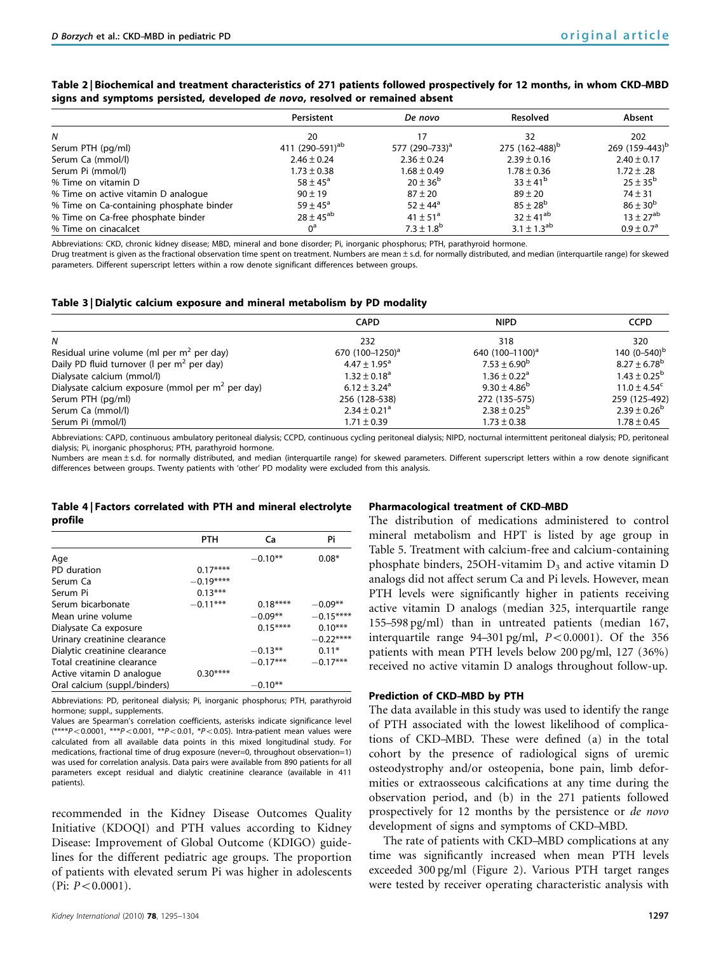#### <span id="page-2-0"></span>Table 2 | Biochemical and treatment characteristics of 271 patients followed prospectively for 12 months, in whom CKD–MBD signs and symptoms persisted, developed de novo, resolved or remained absent

|                                          | Persistent                  | De novo                    | Resolved                   | Absent                     |
|------------------------------------------|-----------------------------|----------------------------|----------------------------|----------------------------|
| N                                        | 20                          |                            | 32                         | 202                        |
| Serum PTH (pg/ml)                        | 411 (290–591) <sup>ab</sup> | 577 (290-733) <sup>a</sup> | 275 (162-488) <sup>b</sup> | 269 (159-443) <sup>b</sup> |
| Serum Ca (mmol/l)                        | $2.46 \pm 0.24$             | $2.36 \pm 0.24$            | $2.39 \pm 0.16$            | $2.40 \pm 0.17$            |
| Serum Pi (mmol/l)                        | $1.73 \pm 0.38$             | $1.68 \pm 0.49$            | $1.78 \pm 0.36$            | $1.72 \pm .28$             |
| % Time on vitamin D                      | $58 \pm 45^{\circ}$         | $20 \pm 36^{\rm b}$        | $33 + 41^{b}$              | $25 \pm 35^{6}$            |
| % Time on active vitamin D analogue      | $90 \pm 19$                 | $87 \pm 20$                | $89 \pm 20$                | $74 \pm 31$                |
| % Time on Ca-containing phosphate binder | $59 \pm 45^{\circ}$         | $52 \pm 44^{\circ}$        | $85 \pm 28^{6}$            | $86 \pm 30^{6}$            |
| % Time on Ca-free phosphate binder       | $28 + 45^{ab}$              | $41 + 51^a$                | $32 + 41^{ab}$             | $13 + 27^{ab}$             |
| % Time on cinacalcet                     | $0^{\rm a}$                 | $7.3 + 1.8^{b}$            | $3.1 + 1.3^{ab}$           | $0.9 + 0.7a$               |

Abbreviations: CKD, chronic kidney disease; MBD, mineral and bone disorder; Pi, inorganic phosphorus; PTH, parathyroid hormone.

Drug treatment is given as the fractional observation time spent on treatment. Numbers are mean ± s.d. for normally distributed, and median (interquartile range) for skewed parameters. Different superscript letters within a row denote significant differences between groups.

|  |  |  |  |  |  | Table 3   Dialytic calcium exposure and mineral metabolism by PD modality |  |  |  |  |
|--|--|--|--|--|--|---------------------------------------------------------------------------|--|--|--|--|
|--|--|--|--|--|--|---------------------------------------------------------------------------|--|--|--|--|

|                                                    | <b>CAPD</b>                  | <b>NIPD</b>                 | <b>CCPD</b>             |
|----------------------------------------------------|------------------------------|-----------------------------|-------------------------|
| N                                                  | 232                          | 318                         | 320                     |
| Residual urine volume (ml per $m^2$ per day)       | 670 (100-1250) <sup>a</sup>  | 640 (100–1100) <sup>a</sup> | 140 $(0-540)^{b}$       |
| Daily PD fluid turnover (I per $m^2$ per day)      | $4.47 \pm 1.95^{\circ}$      | $7.53 \pm 6.90^{\rm b}$     | $8.27 \pm 6.78^b$       |
| Dialysate calcium (mmol/l)                         | $1.32 \pm 0.18^a$            | $1.36 \pm 0.22^{\circ}$     | $1.43 \pm 0.25^{\rm b}$ |
| Dialysate calcium exposure (mmol per $m2$ per day) | $6.12 \pm 3.24^a$            | $9.30 \pm 4.86^{\rm b}$     | $11.0 \pm 4.54^c$       |
| Serum PTH (pg/ml)                                  | 256 (128-538)                | 272 (135-575)               | 259 (125-492)           |
| Serum Ca (mmol/l)                                  | $2.34 \pm 0.21$ <sup>a</sup> | $2.38 \pm 0.25^{\rm b}$     | $2.39 \pm 0.26^b$       |
| Serum Pi (mmol/l)                                  | $1.71 \pm 0.39$              | $1.73 \pm 0.38$             | $1.78 \pm 0.45$         |

Abbreviations: CAPD, continuous ambulatory peritoneal dialysis; CCPD, continuous cycling peritoneal dialysis; NIPD, nocturnal intermittent peritoneal dialysis; PD, peritoneal dialysis; Pi, inorganic phosphorus; PTH, parathyroid hormone.

Numbers are mean±s.d. for normally distributed, and median (interquartile range) for skewed parameters. Different superscript letters within a row denote significant differences between groups. Twenty patients with 'other' PD modality were excluded from this analysis.

#### Table 4 | Factors correlated with PTH and mineral electrolyte profile

|                               | <b>PTH</b> | Ca         | Pi         |
|-------------------------------|------------|------------|------------|
| Age                           |            | $-0.10**$  | $0.08*$    |
| PD duration                   | $0.17***$  |            |            |
| Serum Ca                      | $-0.19***$ |            |            |
| Serum Pi                      | $0.13***$  |            |            |
| Serum bicarbonate             | $-0.11***$ | $0.18***$  | $-0.09**$  |
| Mean urine volume             |            | $-0.09**$  | $-0.15***$ |
| Dialysate Ca exposure         |            | $0.15***$  | $0.10***$  |
| Urinary creatinine clearance  |            |            | $-0.22***$ |
| Dialytic creatinine clearance |            | $-0.13**$  | $0.11*$    |
| Total creatinine clearance    |            | $-0.17***$ | $-0.17***$ |
| Active vitamin D analoque     | $0.30***$  |            |            |
| Oral calcium (suppl./binders) |            | $-0.10**$  |            |

Abbreviations: PD, peritoneal dialysis; Pi, inorganic phosphorus; PTH, parathyroid hormone; suppl., supplements.

Values are Spearman's correlation coefficients, asterisks indicate significance level  $(****P<0.0001, **P<0.001, **P<0.01, **P<0.01, *P<0.05)$ . Intra-patient mean values were calculated from all available data points in this mixed longitudinal study. For medications, fractional time of drug exposure (never=0, throughout observation=1) was used for correlation analysis. Data pairs were available from 890 patients for all parameters except residual and dialytic creatinine clearance (available in 411 patients).

recommended in the Kidney Disease Outcomes Quality Initiative (KDOQI) and PTH values according to Kidney Disease: Improvement of Global Outcome (KDIGO) guidelines for the different pediatric age groups. The proportion of patients with elevated serum Pi was higher in adolescents (Pi:  $P < 0.0001$ ).

#### Pharmacological treatment of CKD–MBD

The distribution of medications administered to control mineral metabolism and HPT is listed by age group in [Table 5.](#page-4-0) Treatment with calcium-free and calcium-containing phosphate binders, 25OH-vitamim  $D_3$  and active vitamin D analogs did not affect serum Ca and Pi levels. However, mean PTH levels were significantly higher in patients receiving active vitamin D analogs (median 325, interquartile range 155–598 pg/ml) than in untreated patients (median 167, interquartile range  $94-301$  pg/ml,  $P < 0.0001$ ). Of the 356 patients with mean PTH levels below 200 pg/ml, 127 (36%) received no active vitamin D analogs throughout follow-up.

#### Prediction of CKD–MBD by PTH

The data available in this study was used to identify the range of PTH associated with the lowest likelihood of complications of CKD–MBD. These were defined (a) in the total cohort by the presence of radiological signs of uremic osteodystrophy and/or osteopenia, bone pain, limb deformities or extraosseous calcifications at any time during the observation period, and (b) in the 271 patients followed prospectively for 12 months by the persistence or de novo development of signs and symptoms of CKD–MBD.

The rate of patients with CKD–MBD complications at any time was significantly increased when mean PTH levels exceeded 300 pg/ml ([Figure 2](#page-4-0)). Various PTH target ranges were tested by receiver operating characteristic analysis with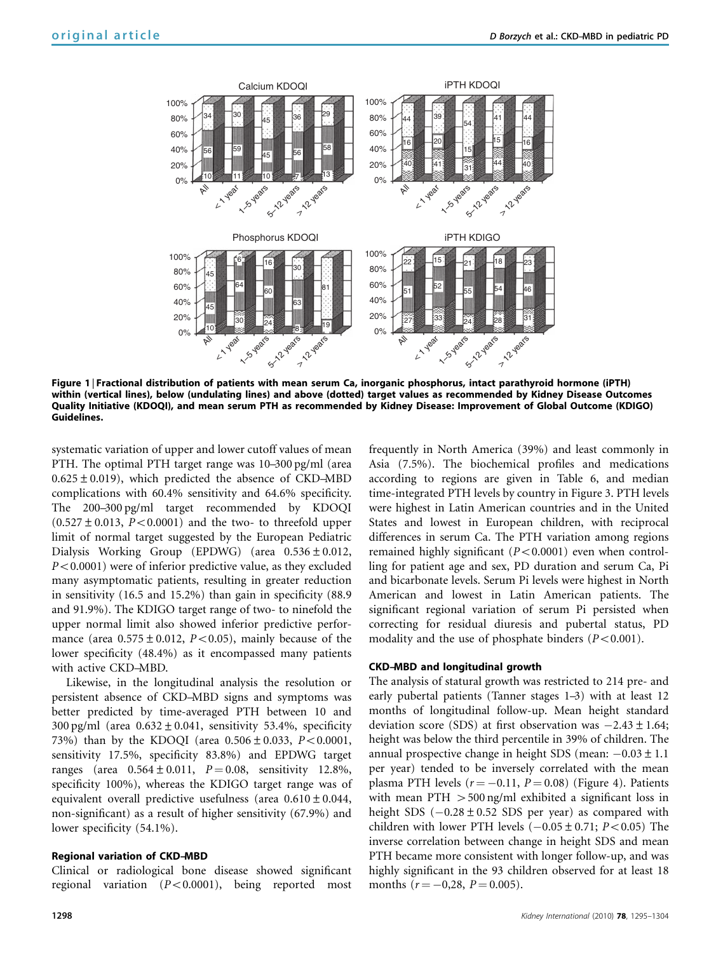<span id="page-3-0"></span>

Figure 1 | Fractional distribution of patients with mean serum Ca, inorganic phosphorus, intact parathyroid hormone (iPTH) within (vertical lines), below (undulating lines) and above (dotted) target values as recommended by Kidney Disease Outcomes Quality Initiative (KDOQI), and mean serum PTH as recommended by Kidney Disease: Improvement of Global Outcome (KDIGO) Guidelines.

systematic variation of upper and lower cutoff values of mean PTH. The optimal PTH target range was 10–300 pg/ml (area  $0.625 \pm 0.019$ , which predicted the absence of CKD–MBD complications with 60.4% sensitivity and 64.6% specificity. The 200–300 pg/ml target recommended by KDOQI  $(0.527 \pm 0.013, P < 0.0001)$  and the two- to threefold upper limit of normal target suggested by the European Pediatric Dialysis Working Group (EPDWG) (area 0.536±0.012,  $P<0.0001$ ) were of inferior predictive value, as they excluded many asymptomatic patients, resulting in greater reduction in sensitivity (16.5 and 15.2%) than gain in specificity (88.9 and 91.9%). The KDIGO target range of two- to ninefold the upper normal limit also showed inferior predictive performance (area  $0.575 \pm 0.012$ ,  $P<0.05$ ), mainly because of the lower specificity (48.4%) as it encompassed many patients with active CKD–MBD.

Likewise, in the longitudinal analysis the resolution or persistent absence of CKD–MBD signs and symptoms was better predicted by time-averaged PTH between 10 and 300 pg/ml (area  $0.632 \pm 0.041$ , sensitivity 53.4%, specificity 73%) than by the KDOQI (area  $0.506 \pm 0.033$ ,  $P < 0.0001$ , sensitivity 17.5%, specificity 83.8%) and EPDWG target ranges (area  $0.564 \pm 0.011$ ,  $P = 0.08$ , sensitivity 12.8%, specificity 100%), whereas the KDIGO target range was of equivalent overall predictive usefulness (area  $0.610 \pm 0.044$ , non-significant) as a result of higher sensitivity (67.9%) and lower specificity (54.1%).

# Regional variation of CKD–MBD

Clinical or radiological bone disease showed significant regional variation  $(P<0.0001)$ , being reported most

frequently in North America (39%) and least commonly in Asia (7.5%). The biochemical profiles and medications according to regions are given in [Table 6,](#page-4-0) and median time-integrated PTH levels by country in [Figure 3.](#page-5-0) PTH levels were highest in Latin American countries and in the United States and lowest in European children, with reciprocal differences in serum Ca. The PTH variation among regions remained highly significant  $(P<0.0001)$  even when controlling for patient age and sex, PD duration and serum Ca, Pi and bicarbonate levels. Serum Pi levels were highest in North American and lowest in Latin American patients. The significant regional variation of serum Pi persisted when correcting for residual diuresis and pubertal status, PD modality and the use of phosphate binders  $(P<0.001)$ .

# CKD–MBD and longitudinal growth

The analysis of statural growth was restricted to 214 pre- and early pubertal patients (Tanner stages 1–3) with at least 12 months of longitudinal follow-up. Mean height standard deviation score (SDS) at first observation was  $-2.43 \pm 1.64$ ; height was below the third percentile in 39% of children. The annual prospective change in height SDS (mean:  $-0.03 \pm 1.1$ ) per year) tended to be inversely correlated with the mean plasma PTH levels ( $r\!=\!-0.11,\,P\!=\!0.08)$  ([Figure 4](#page-5-0)). Patients with mean PTH  $>500$  ng/ml exhibited a significant loss in height SDS  $(-0.28 \pm 0.52$  SDS per year) as compared with children with lower PTH levels  $(-0.05 \pm 0.71; P<0.05)$  The inverse correlation between change in height SDS and mean PTH became more consistent with longer follow-up, and was highly significant in the 93 children observed for at least 18 months  $(r = -0.28, P = 0.005)$ .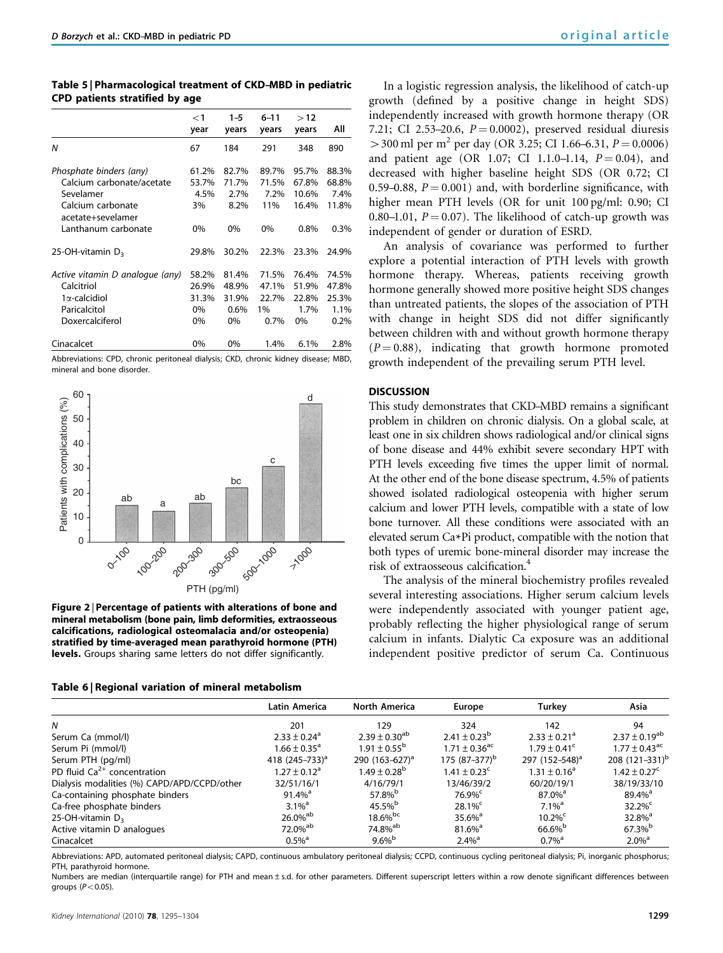<span id="page-4-0"></span>Table 5 | Pharmacological treatment of CKD–MBD in pediatric CPD patients stratified by age

|                                                                                                                                    | $<$ 1<br>year                          | $1 - 5$<br>years                            | $6 - 11$<br>years                        | >12<br>years                                | All                                     |
|------------------------------------------------------------------------------------------------------------------------------------|----------------------------------------|---------------------------------------------|------------------------------------------|---------------------------------------------|-----------------------------------------|
| N                                                                                                                                  | 67                                     | 184                                         | 291                                      | 348                                         | 890                                     |
| Phosphate binders (any)<br>Calcium carbonate/acetate<br>Sevelamer<br>Calcium carbonate<br>acetate+sevelamer<br>Lanthanum carbonate | 61.2%<br>53.7%<br>4.5%<br>3%<br>0%     | 82.7%<br>71.7%<br>2.7%<br>8.2%<br>$0\%$     | 89.7%<br>71.5%<br>7.2%<br>11%<br>$0\%$   | 95.7%<br>67.8%<br>10.6%<br>16.4%<br>$0.8\%$ | 88.3%<br>68.8%<br>7.4%<br>11.8%<br>0.3% |
| 25-OH-vitamin $D_3$                                                                                                                | 29.8%                                  | 30.2%                                       | 22.3%                                    | 23.3%                                       | 24.9%                                   |
| Active vitamin D analogue (any)<br>Calcitriol<br>$1\alpha$ -calcidiol<br>Paricalcitol<br>Doxercalciferol                           | 58.2%<br>26.9%<br>31.3%<br>0%<br>$0\%$ | 81.4%<br>48.9%<br>31.9%<br>$0.6\%$<br>$0\%$ | 71.5%<br>47.1%<br>22.7%<br>1%<br>$0.7\%$ | 76.4%<br>51.9%<br>22.8%<br>1.7%<br>$0\%$    | 74.5%<br>47.8%<br>25.3%<br>1.1%<br>0.2% |
| Cinacalcet                                                                                                                         | $0\%$                                  | $0\%$                                       | 1.4%                                     | 6.1%                                        | 2.8%                                    |

Abbreviations: CPD, chronic peritoneal dialysis; CKD, chronic kidney disease; MBD, mineral and bone disorder.



Figure 2 | Percentage of patients with alterations of bone and mineral metabolism (bone pain, limb deformities, extraosseous calcifications, radiological osteomalacia and/or osteopenia) stratified by time-averaged mean parathyroid hormone (PTH) levels. Groups sharing same letters do not differ significantly.

|  |  |  |  |  | Table 6   Regional variation of mineral metabolism |
|--|--|--|--|--|----------------------------------------------------|
|--|--|--|--|--|----------------------------------------------------|

In a logistic regression analysis, the likelihood of catch-up growth (defined by a positive change in height SDS) independently increased with growth hormone therapy (OR 7.21; CI 2.53-20.6,  $P = 0.0002$ ), preserved residual diuresis  $>$  300 ml per m<sup>2</sup> per day (OR 3.25; CI 1.66–6.31, P = 0.0006) and patient age (OR 1.07; CI 1.1.0-1.14,  $P = 0.04$ ), and decreased with higher baseline height SDS (OR 0.72; CI 0.59–0.88,  $P = 0.001$ ) and, with borderline significance, with higher mean PTH levels (OR for unit 100 pg/ml: 0.90; CI 0.80–1.01,  $P = 0.07$ ). The likelihood of catch-up growth was independent of gender or duration of ESRD.

An analysis of covariance was performed to further explore a potential interaction of PTH levels with growth hormone therapy. Whereas, patients receiving growth hormone generally showed more positive height SDS changes than untreated patients, the slopes of the association of PTH with change in height SDS did not differ significantly between children with and without growth hormone therapy  $(P = 0.88)$ , indicating that growth hormone promoted growth independent of the prevailing serum PTH level.

# **DISCUSSION**

This study demonstrates that CKD–MBD remains a significant problem in children on chronic dialysis. On a global scale, at least one in six children shows radiological and/or clinical signs of bone disease and 44% exhibit severe secondary HPT with PTH levels exceeding five times the upper limit of normal. At the other end of the bone disease spectrum, 4.5% of patients showed isolated radiological osteopenia with higher serum calcium and lower PTH levels, compatible with a state of low bone turnover. All these conditions were associated with an elevated serum Ca\*Pi product, compatible with the notion that both types of uremic bone-mineral disorder may increase the risk of extraosseous calcification[.4](#page-8-0)

The analysis of the mineral biochemistry profiles revealed several interesting associations. Higher serum calcium levels were independently associated with younger patient age, probably reflecting the higher physiological range of serum calcium in infants. Dialytic Ca exposure was an additional independent positive predictor of serum Ca. Continuous

|                                             | Latin America                | North America              | Europe                       | Turkey                       | Asia                        |
|---------------------------------------------|------------------------------|----------------------------|------------------------------|------------------------------|-----------------------------|
| Ν                                           | 201                          | 129                        | 324                          | 142                          | 94                          |
| Serum Ca (mmol/l)                           | $2.33 \pm 0.24$ <sup>a</sup> | $2.39 \pm 0.30^{ab}$       | $2.41 \pm 0.23^{\rm b}$      | $2.33 \pm 0.21^a$            | $2.37 \pm 0.19^{ab}$        |
| Serum Pi (mmol/l)                           | $1.66 \pm 0.35^{\circ}$      | $1.91 \pm 0.55^{\rm b}$    | $1.71 \pm 0.36^{\text{ac}}$  | $1.79 \pm 0.41$ <sup>c</sup> | $1.77 \pm 0.43^{\text{ac}}$ |
| Serum PTH (pg/ml)                           | 418 (245-733) <sup>a</sup>   | 290 (163-627) <sup>a</sup> | 175 (87-377) <sup>b</sup>    | 297 (152-548) <sup>a</sup>   | 208 (121-331) <sup>b</sup>  |
| PD fluid $Ca^{2+}$ concentration            | $1.27 \pm 0.12^a$            | $1.49\pm0.28^{\text{b}}$   | $1.41 \pm 0.23$ <sup>c</sup> | $1.31 \pm 0.16^a$            | $1.42 \pm 0.27^c$           |
| Dialysis modalities (%) CAPD/APD/CCPD/other | 32/51/16/1                   | 4/16/79/1                  | 13/46/39/2                   | 60/20/19/1                   | 38/19/33/10                 |
| Ca-containing phosphate binders             | $91.4\%$ <sup>a</sup>        | 57.8% <sup>b</sup>         | $76.9%^c$                    | $87.0\%$ <sup>a</sup>        | $89.4\%$ <sup>a</sup>       |
| Ca-free phosphate binders                   | $3.1\%$ <sup>a</sup>         | 45.5% <sup>b</sup>         | $28.1\%$ <sup>c</sup>        | $7.1\%$ <sup>a</sup>         | $32.2\%^{\circ}$            |
| 25-OH-vitamin $D_3$                         | $26.0\%$ <sup>ab</sup>       | $18.6\%$ <sup>bc</sup>     | $35.6\%$ <sup>a</sup>        | $10.2\%$ <sup>c</sup>        | $32.8\%$ <sup>a</sup>       |
| Active vitamin D analogues                  | $72.0\%$ <sup>ab</sup>       | 74.8% <sup>ab</sup>        | $81.6\%$ <sup>a</sup>        | $66.6\%$ <sup>b</sup>        | 67.3% <sup>b</sup>          |
| Cinacalcet                                  | $0.5\%$ <sup>a</sup>         | $9.6%^{b}$                 | $2.4\%$ <sup>a</sup>         | $0.7\%$ <sup>a</sup>         | $2.0%^{a}$                  |

Abbreviations: APD, automated peritoneal dialysis; CAPD, continuous ambulatory peritoneal dialysis; CCPD, continuous cycling peritoneal dialysis; Pi, inorganic phosphorus; PTH, parathyroid hormone.

Numbers are median (interquartile range) for PTH and mean ± s.d. for other parameters. Different superscript letters within a row denote significant differences between groups  $(P<0.05)$ .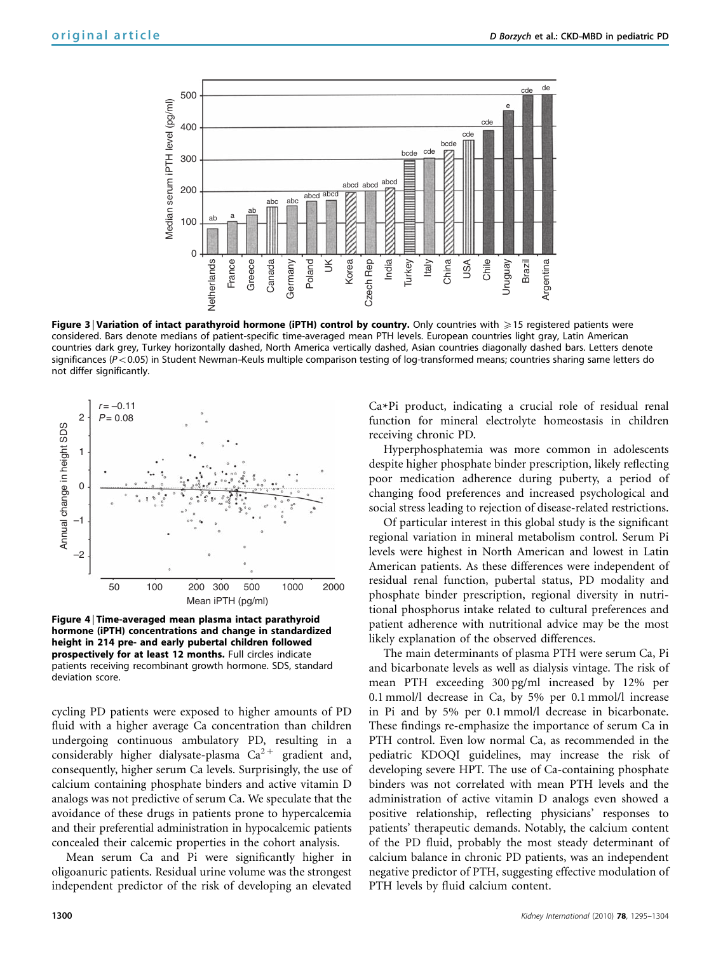<span id="page-5-0"></span>

Figure 3 | Variation of intact parathyroid hormone (iPTH) control by country. Only countries with  $\geqslant$  15 registered patients were considered. Bars denote medians of patient-specific time-averaged mean PTH levels. European countries light gray, Latin American countries dark grey, Turkey horizontally dashed, North America vertically dashed, Asian countries diagonally dashed bars. Letters denote significances ( $P < 0.05$ ) in Student Newman–Keuls multiple comparison testing of log-transformed means; countries sharing same letters do not differ significantly.



Figure 4 | Time-averaged mean plasma intact parathyroid hormone (iPTH) concentrations and change in standardized height in 214 pre- and early pubertal children followed prospectively for at least 12 months. Full circles indicate patients receiving recombinant growth hormone. SDS, standard deviation score.

cycling PD patients were exposed to higher amounts of PD fluid with a higher average Ca concentration than children undergoing continuous ambulatory PD, resulting in a considerably higher dialysate-plasma  $Ca^{2+}$  gradient and, consequently, higher serum Ca levels. Surprisingly, the use of calcium containing phosphate binders and active vitamin D analogs was not predictive of serum Ca. We speculate that the avoidance of these drugs in patients prone to hypercalcemia and their preferential administration in hypocalcemic patients concealed their calcemic properties in the cohort analysis.

Mean serum Ca and Pi were significantly higher in oligoanuric patients. Residual urine volume was the strongest independent predictor of the risk of developing an elevated Ca\*Pi product, indicating a crucial role of residual renal function for mineral electrolyte homeostasis in children receiving chronic PD.

Hyperphosphatemia was more common in adolescents despite higher phosphate binder prescription, likely reflecting poor medication adherence during puberty, a period of changing food preferences and increased psychological and social stress leading to rejection of disease-related restrictions.

Of particular interest in this global study is the significant regional variation in mineral metabolism control. Serum Pi levels were highest in North American and lowest in Latin American patients. As these differences were independent of residual renal function, pubertal status, PD modality and phosphate binder prescription, regional diversity in nutritional phosphorus intake related to cultural preferences and patient adherence with nutritional advice may be the most likely explanation of the observed differences.

The main determinants of plasma PTH were serum Ca, Pi and bicarbonate levels as well as dialysis vintage. The risk of mean PTH exceeding 300 pg/ml increased by 12% per 0.1 mmol/l decrease in Ca, by 5% per 0.1 mmol/l increase in Pi and by 5% per 0.1 mmol/l decrease in bicarbonate. These findings re-emphasize the importance of serum Ca in PTH control. Even low normal Ca, as recommended in the pediatric KDOQI guidelines, may increase the risk of developing severe HPT. The use of Ca-containing phosphate binders was not correlated with mean PTH levels and the administration of active vitamin D analogs even showed a positive relationship, reflecting physicians' responses to patients' therapeutic demands. Notably, the calcium content of the PD fluid, probably the most steady determinant of calcium balance in chronic PD patients, was an independent negative predictor of PTH, suggesting effective modulation of PTH levels by fluid calcium content.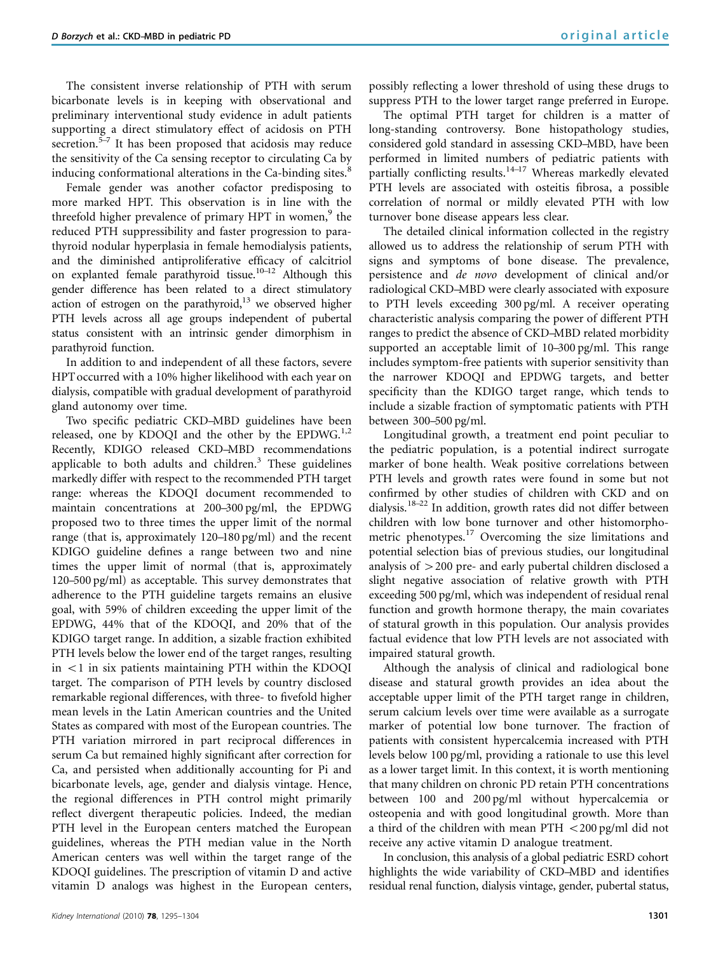The consistent inverse relationship of PTH with serum bicarbonate levels is in keeping with observational and preliminary interventional study evidence in adult patients supporting a direct stimulatory effect of acidosis on PTH secretion.<sup>[5–7](#page-8-0)</sup> It has been proposed that acidosis may reduce the sensitivity of the Ca sensing receptor to circulating Ca by inducing conformational alterations in the Ca-binding sites.<sup>[8](#page-8-0)</sup>

Female gender was another cofactor predisposing to more marked HPT. This observation is in line with the threefold higher prevalence of primary HPT in women,<sup>[9](#page-8-0)</sup> the reduced PTH suppressibility and faster progression to parathyroid nodular hyperplasia in female hemodialysis patients, and the diminished antiproliferative efficacy of calcitriol on explanted female parathyroid tissue.<sup>10–12</sup> Although this gender difference has been related to a direct stimulatory action of estrogen on the parathyroid, $13$  we observed higher PTH levels across all age groups independent of pubertal status consistent with an intrinsic gender dimorphism in parathyroid function.

In addition to and independent of all these factors, severe HPT occurred with a 10% higher likelihood with each year on dialysis, compatible with gradual development of parathyroid gland autonomy over time.

Two specific pediatric CKD–MBD guidelines have been released, one by KDOQI and the other by the EPDWG. $^{1,2}$  $^{1,2}$  $^{1,2}$ Recently, KDIGO released CKD–MBD recommendations applicable to both adults and children.<sup>[3](#page-8-0)</sup> These guidelines markedly differ with respect to the recommended PTH target range: whereas the KDOQI document recommended to maintain concentrations at 200–300 pg/ml, the EPDWG proposed two to three times the upper limit of the normal range (that is, approximately 120–180 pg/ml) and the recent KDIGO guideline defines a range between two and nine times the upper limit of normal (that is, approximately 120–500 pg/ml) as acceptable. This survey demonstrates that adherence to the PTH guideline targets remains an elusive goal, with 59% of children exceeding the upper limit of the EPDWG, 44% that of the KDOQI, and 20% that of the KDIGO target range. In addition, a sizable fraction exhibited PTH levels below the lower end of the target ranges, resulting  $in < 1$  in six patients maintaining PTH within the KDOQI target. The comparison of PTH levels by country disclosed remarkable regional differences, with three- to fivefold higher mean levels in the Latin American countries and the United States as compared with most of the European countries. The PTH variation mirrored in part reciprocal differences in serum Ca but remained highly significant after correction for Ca, and persisted when additionally accounting for Pi and bicarbonate levels, age, gender and dialysis vintage. Hence, the regional differences in PTH control might primarily reflect divergent therapeutic policies. Indeed, the median PTH level in the European centers matched the European guidelines, whereas the PTH median value in the North American centers was well within the target range of the KDOQI guidelines. The prescription of vitamin D and active vitamin D analogs was highest in the European centers, possibly reflecting a lower threshold of using these drugs to suppress PTH to the lower target range preferred in Europe.

The optimal PTH target for children is a matter of long-standing controversy. Bone histopathology studies, considered gold standard in assessing CKD–MBD, have been performed in limited numbers of pediatric patients with partially conflicting results. $14-17$  Whereas markedly elevated PTH levels are associated with osteitis fibrosa, a possible correlation of normal or mildly elevated PTH with low turnover bone disease appears less clear.

The detailed clinical information collected in the registry allowed us to address the relationship of serum PTH with signs and symptoms of bone disease. The prevalence, persistence and de novo development of clinical and/or radiological CKD–MBD were clearly associated with exposure to PTH levels exceeding 300 pg/ml. A receiver operating characteristic analysis comparing the power of different PTH ranges to predict the absence of CKD–MBD related morbidity supported an acceptable limit of 10–300 pg/ml. This range includes symptom-free patients with superior sensitivity than the narrower KDOQI and EPDWG targets, and better specificity than the KDIGO target range, which tends to include a sizable fraction of symptomatic patients with PTH between 300–500 pg/ml.

Longitudinal growth, a treatment end point peculiar to the pediatric population, is a potential indirect surrogate marker of bone health. Weak positive correlations between PTH levels and growth rates were found in some but not confirmed by other studies of children with CKD and on dialysis.<sup>[18–22](#page-8-0)</sup> In addition, growth rates did not differ between children with low bone turnover and other histomorpho-metric phenotypes.<sup>[17](#page-8-0)</sup> Overcoming the size limitations and potential selection bias of previous studies, our longitudinal analysis of  $>$  200 pre- and early pubertal children disclosed a slight negative association of relative growth with PTH exceeding 500 pg/ml, which was independent of residual renal function and growth hormone therapy, the main covariates of statural growth in this population. Our analysis provides factual evidence that low PTH levels are not associated with impaired statural growth.

Although the analysis of clinical and radiological bone disease and statural growth provides an idea about the acceptable upper limit of the PTH target range in children, serum calcium levels over time were available as a surrogate marker of potential low bone turnover. The fraction of patients with consistent hypercalcemia increased with PTH levels below 100 pg/ml, providing a rationale to use this level as a lower target limit. In this context, it is worth mentioning that many children on chronic PD retain PTH concentrations between 100 and 200 pg/ml without hypercalcemia or osteopenia and with good longitudinal growth. More than a third of the children with mean PTH  $\langle 200 \,\text{pg/ml} \rangle$  did not receive any active vitamin D analogue treatment.

In conclusion, this analysis of a global pediatric ESRD cohort highlights the wide variability of CKD–MBD and identifies residual renal function, dialysis vintage, gender, pubertal status,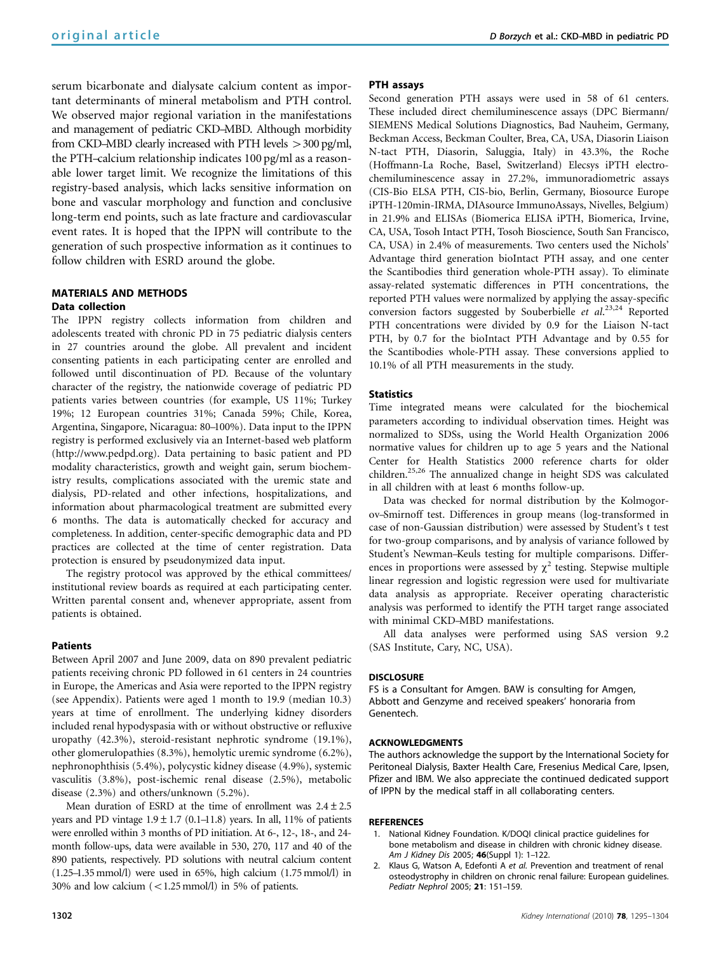<span id="page-7-0"></span>serum bicarbonate and dialysate calcium content as important determinants of mineral metabolism and PTH control. We observed major regional variation in the manifestations and management of pediatric CKD–MBD. Although morbidity from CKD–MBD clearly increased with PTH levels  $>$  300 pg/ml, the PTH–calcium relationship indicates 100 pg/ml as a reasonable lower target limit. We recognize the limitations of this registry-based analysis, which lacks sensitive information on bone and vascular morphology and function and conclusive long-term end points, such as late fracture and cardiovascular event rates. It is hoped that the IPPN will contribute to the generation of such prospective information as it continues to follow children with ESRD around the globe.

# MATERIALS AND METHODS Data collection

The IPPN registry collects information from children and adolescents treated with chronic PD in 75 pediatric dialysis centers in 27 countries around the globe. All prevalent and incident consenting patients in each participating center are enrolled and followed until discontinuation of PD. Because of the voluntary character of the registry, the nationwide coverage of pediatric PD patients varies between countries (for example, US 11%; Turkey 19%; 12 European countries 31%; Canada 59%; Chile, Korea, Argentina, Singapore, Nicaragua: 80–100%). Data input to the IPPN registry is performed exclusively via an Internet-based web platform ([http://www.pedpd.org\)](http://www.pedpd.org). Data pertaining to basic patient and PD modality characteristics, growth and weight gain, serum biochemistry results, complications associated with the uremic state and dialysis, PD-related and other infections, hospitalizations, and information about pharmacological treatment are submitted every 6 months. The data is automatically checked for accuracy and completeness. In addition, center-specific demographic data and PD practices are collected at the time of center registration. Data protection is ensured by pseudonymized data input.

The registry protocol was approved by the ethical committees/ institutional review boards as required at each participating center. Written parental consent and, whenever appropriate, assent from patients is obtained.

# Patients

Between April 2007 and June 2009, data on 890 prevalent pediatric patients receiving chronic PD followed in 61 centers in 24 countries in Europe, the Americas and Asia were reported to the IPPN registry (see Appendix). Patients were aged 1 month to 19.9 (median 10.3) years at time of enrollment. The underlying kidney disorders included renal hypodyspasia with or without obstructive or refluxive uropathy (42.3%), steroid-resistant nephrotic syndrome (19.1%), other glomerulopathies (8.3%), hemolytic uremic syndrome (6.2%), nephronophthisis (5.4%), polycystic kidney disease (4.9%), systemic vasculitis (3.8%), post-ischemic renal disease (2.5%), metabolic disease (2.3%) and others/unknown (5.2%).

Mean duration of ESRD at the time of enrollment was  $2.4 \pm 2.5$ years and PD vintage  $1.9 \pm 1.7$  (0.1–11.8) years. In all, 11% of patients were enrolled within 3 months of PD initiation. At 6-, 12-, 18-, and 24 month follow-ups, data were available in 530, 270, 117 and 40 of the 890 patients, respectively. PD solutions with neutral calcium content (1.25–1.35 mmol/l) were used in 65%, high calcium (1.75 mmol/l) in 30% and low calcium  $\left($  < 1.25 mmol/l) in 5% of patients.

#### PTH assays

Second generation PTH assays were used in 58 of 61 centers. These included direct chemiluminescence assays (DPC Biermann/ SIEMENS Medical Solutions Diagnostics, Bad Nauheim, Germany, Beckman Access, Beckman Coulter, Brea, CA, USA, Diasorin Liaison N-tact PTH, Diasorin, Saluggia, Italy) in 43.3%, the Roche (Hoffmann-La Roche, Basel, Switzerland) Elecsys iPTH electrochemiluminescence assay in 27.2%, immunoradiometric assays (CIS-Bio ELSA PTH, CIS-bio, Berlin, Germany, Biosource Europe iPTH-120min-IRMA, DIAsource ImmunoAssays, Nivelles, Belgium) in 21.9% and ELISAs (Biomerica ELISA iPTH, Biomerica, Irvine, CA, USA, Tosoh Intact PTH, Tosoh Bioscience, South San Francisco, CA, USA) in 2.4% of measurements. Two centers used the Nichols' Advantage third generation bioIntact PTH assay, and one center the Scantibodies third generation whole-PTH assay). To eliminate assay-related systematic differences in PTH concentrations, the reported PTH values were normalized by applying the assay-specific conversion factors suggested by Souberbielle et al.<sup>[23,24](#page-8-0)</sup> Reported PTH concentrations were divided by 0.9 for the Liaison N-tact PTH, by 0.7 for the bioIntact PTH Advantage and by 0.55 for the Scantibodies whole-PTH assay. These conversions applied to 10.1% of all PTH measurements in the study.

# **Statistics**

Time integrated means were calculated for the biochemical parameters according to individual observation times. Height was normalized to SDSs, using the World Health Organization 2006 normative values for children up to age 5 years and the National Center for Health Statistics 2000 reference charts for older children.<sup>[25,26](#page-8-0)</sup> The annualized change in height SDS was calculated in all children with at least 6 months follow-up.

Data was checked for normal distribution by the Kolmogorov–Smirnoff test. Differences in group means (log-transformed in case of non-Gaussian distribution) were assessed by Student's t test for two-group comparisons, and by analysis of variance followed by Student's Newman–Keuls testing for multiple comparisons. Differences in proportions were assessed by  $\chi^2$  testing. Stepwise multiple linear regression and logistic regression were used for multivariate data analysis as appropriate. Receiver operating characteristic analysis was performed to identify the PTH target range associated with minimal CKD–MBD manifestations.

All data analyses were performed using SAS version 9.2 (SAS Institute, Cary, NC, USA).

# **DISCLOSURE**

FS is a Consultant for Amgen. BAW is consulting for Amgen, Abbott and Genzyme and received speakers' honoraria from Genentech.

# ACKNOWLEDGMENTS

The authors acknowledge the support by the International Society for Peritoneal Dialysis, Baxter Health Care, Fresenius Medical Care, Ipsen, Pfizer and IBM. We also appreciate the continued dedicated support of IPPN by the medical staff in all collaborating centers.

#### **REFERENCES**

- 1. National Kidney Foundation. K/DOQI clinical practice guidelines for bone metabolism and disease in children with chronic kidney disease. Am J Kidney Dis 2005; 46(Suppl 1): 1-122.
- 2. Klaus G, Watson A, Edefonti A et al. Prevention and treatment of renal osteodystrophy in children on chronic renal failure: European guidelines. Pediatr Nephrol 2005; 21: 151–159.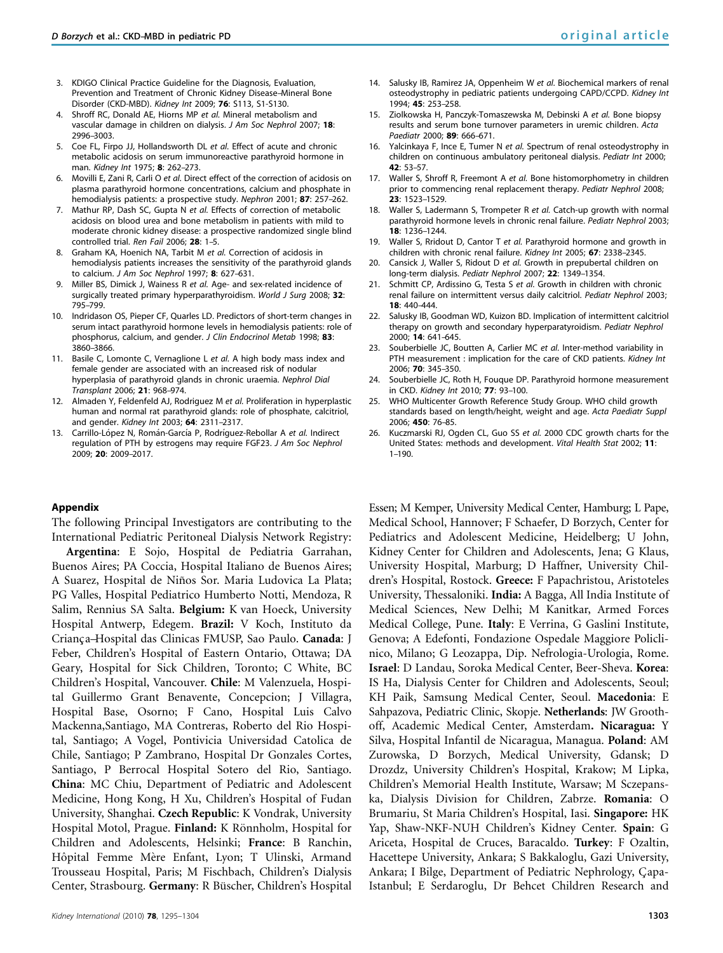- <span id="page-8-0"></span>3. KDIGO Clinical Practice Guideline for the Diagnosis, Evaluation, Prevention and Treatment of Chronic Kidney Disease–Mineral Bone Disorder (CKD-MBD). Kidney Int 2009; 76: S113, S1-S130.
- 4. Shroff RC, Donald AE, Hiorns MP et al. Mineral metabolism and vascular damage in children on dialysis. J Am Soc Nephrol 2007; 18: 2996–3003.
- 5. Coe FL, Firpo JJ, Hollandsworth DL et al. Effect of acute and chronic metabolic acidosis on serum immunoreactive parathyroid hormone in man. Kidney Int 1975; 8: 262–273.
- 6. Movilli E, Zani R, Carli O et al. Direct effect of the correction of acidosis on plasma parathyroid hormone concentrations, calcium and phosphate in hemodialysis patients: a prospective study. Nephron 2001; 87: 257-262.
- 7. Mathur RP, Dash SC, Gupta N et al. Effects of correction of metabolic acidosis on blood urea and bone metabolism in patients with mild to moderate chronic kidney disease: a prospective randomized single blind controlled trial. Ren Fail 2006; 28: 1-5.
- 8. Graham KA, Hoenich NA, Tarbit M et al. Correction of acidosis in hemodialysis patients increases the sensitivity of the parathyroid glands to calcium. J Am Soc Nephrol 1997: 8: 627-631.
- 9. Miller BS, Dimick J, Wainess R et al. Age- and sex-related incidence of surgically treated primary hyperparathyroidism. World J Surg 2008; 32: 795–799.
- 10. Indridason OS, Pieper CF, Quarles LD. Predictors of short-term changes in serum intact parathyroid hormone levels in hemodialysis patients: role of phosphorus, calcium, and gender. J Clin Endocrinol Metab 1998; 83: 3860–3866.
- 11. Basile C, Lomonte C, Vernaglione L et al. A high body mass index and female gender are associated with an increased risk of nodular hyperplasia of parathyroid glands in chronic uraemia. Nephrol Dial Transplant 2006; 21: 968–974.
- 12. Almaden Y, Feldenfeld AJ, Rodriguez M et al. Proliferation in hyperplastic human and normal rat parathyroid glands: role of phosphate, calcitriol, and gender. Kidney Int 2003; 64: 2311–2317.
- 13. Carrillo-López N, Román-García P, Rodríguez-Rebollar A et al. Indirect regulation of PTH by estrogens may require FGF23. J Am Soc Nephrol 2009; 20: 2009–2017.

#### Appendix

The following Principal Investigators are contributing to the International Pediatric Peritoneal Dialysis Network Registry:

Argentina: E Sojo, Hospital de Pediatria Garrahan, Buenos Aires; PA Coccia, Hospital Italiano de Buenos Aires; A Suarez, Hospital de Niños Sor. Maria Ludovica La Plata; PG Valles, Hospital Pediatrico Humberto Notti, Mendoza, R Salim, Rennius SA Salta. Belgium: K van Hoeck, University Hospital Antwerp, Edegem. Brazil: V Koch, Instituto da Criança-Hospital das Clinicas FMUSP, Sao Paulo. Canada: J Feber, Children's Hospital of Eastern Ontario, Ottawa; DA Geary, Hospital for Sick Children, Toronto; C White, BC Children's Hospital, Vancouver. Chile: M Valenzuela, Hospital Guillermo Grant Benavente, Concepcion; J Villagra, Hospital Base, Osorno; F Cano, Hospital Luis Calvo Mackenna,Santiago, MA Contreras, Roberto del Rio Hospital, Santiago; A Vogel, Pontivicia Universidad Catolica de Chile, Santiago; P Zambrano, Hospital Dr Gonzales Cortes, Santiago, P Berrocal Hospital Sotero del Rio, Santiago. China: MC Chiu, Department of Pediatric and Adolescent Medicine, Hong Kong, H Xu, Children's Hospital of Fudan University, Shanghai. Czech Republic: K Vondrak, University Hospital Motol, Prague. Finland: K Rönnholm, Hospital for Children and Adolescents, Helsinki; France: B Ranchin, Hôpital Femme Mère Enfant, Lyon; T Ulinski, Armand Trousseau Hospital, Paris; M Fischbach, Children's Dialysis Center, Strasbourg. Germany: R Büscher, Children's Hospital

- 14. Salusky IB, Ramirez JA, Oppenheim W et al. Biochemical markers of renal osteodystrophy in pediatric patients undergoing CAPD/CCPD. Kidney Int 1994; 45: 253–258.
- 15. Ziolkowska H, Panczyk-Tomaszewska M, Debinski A et al. Bone biopsy results and serum bone turnover parameters in uremic children. Acta Paediatr 2000; 89: 666–671.
- 16. Yalcinkaya F, Ince E, Tumer N et al. Spectrum of renal osteodystrophy in children on continuous ambulatory peritoneal dialysis. Pediatr Int 2000; 42: 53–57.
- 17. Waller S, Shroff R, Freemont A et al. Bone histomorphometry in children prior to commencing renal replacement therapy. Pediatr Nephrol 2008; 23: 1523–1529.
- 18. Waller S, Ladermann S, Trompeter R et al. Catch-up growth with normal parathyroid hormone levels in chronic renal failure. Pediatr Nephrol 2003; 18: 1236–1244.
- 19. Waller S, Rridout D, Cantor T et al. Parathyroid hormone and growth in children with chronic renal failure. Kidney Int 2005; 67: 2338–2345.
- 20. Cansick J, Waller S, Ridout D et al. Growth in prepubertal children on long-term dialysis. Pediatr Nephrol 2007; 22: 1349–1354.
- 21. Schmitt CP, Ardissino G, Testa S et al. Growth in children with chronic renal failure on intermittent versus daily calcitriol. Pediatr Nephrol 2003; 18: 440–444.
- 22. Salusky IB, Goodman WD, Kuizon BD. Implication of intermittent calcitriol therapy on growth and secondary hyperparatyroidism. Pediatr Nephrol 2000; 14: 641–645.
- 23. Souberbielle JC, Boutten A, Carlier MC et al. Inter-method variability in PTH measurement : implication for the care of CKD patients. Kidney Int 2006; 70: 345–350.
- 24. Souberbielle JC, Roth H, Fouque DP. Parathyroid hormone measurement in CKD. Kidney Int 2010; 77: 93–100.
- 25. WHO Multicenter Growth Reference Study Group. WHO child growth standards based on length/height, weight and age. Acta Paediatr Suppl 2006; 450: 76–85.
- 26. Kuczmarski RJ, Ogden CL, Guo SS et al. 2000 CDC growth charts for the United States: methods and development. Vital Health Stat 2002; 11: 1–190.

Essen; M Kemper, University Medical Center, Hamburg; L Pape, Medical School, Hannover; F Schaefer, D Borzych, Center for Pediatrics and Adolescent Medicine, Heidelberg; U John, Kidney Center for Children and Adolescents, Jena; G Klaus, University Hospital, Marburg; D Haffner, University Children's Hospital, Rostock. Greece: F Papachristou, Aristoteles University, Thessaloniki. India: A Bagga, All India Institute of Medical Sciences, New Delhi; M Kanitkar, Armed Forces Medical College, Pune. Italy: E Verrina, G Gaslini Institute, Genova; A Edefonti, Fondazione Ospedale Maggiore Policlinico, Milano; G Leozappa, Dip. Nefrologia-Urologia, Rome. Israel: D Landau, Soroka Medical Center, Beer-Sheva. Korea: IS Ha, Dialysis Center for Children and Adolescents, Seoul; KH Paik, Samsung Medical Center, Seoul. Macedonia: E Sahpazova, Pediatric Clinic, Skopje. Netherlands: JW Groothoff, Academic Medical Center, Amsterdam. Nicaragua: Y Silva, Hospital Infantil de Nicaragua, Managua. Poland: AM Zurowska, D Borzych, Medical University, Gdansk; D Drozdz, University Children's Hospital, Krakow; M Lipka, Children's Memorial Health Institute, Warsaw; M Sczepanska, Dialysis Division for Children, Zabrze. Romania: O Brumariu, St Maria Children's Hospital, Iasi. Singapore: HK Yap, Shaw-NKF-NUH Children's Kidney Center. Spain: G Ariceta, Hospital de Cruces, Baracaldo. Turkey: F Ozaltin, Hacettepe University, Ankara; S Bakkaloglu, Gazi University, Ankara; I Bilge, Department of Pediatric Nephrology, Çapa-Istanbul; E Serdaroglu, Dr Behcet Children Research and